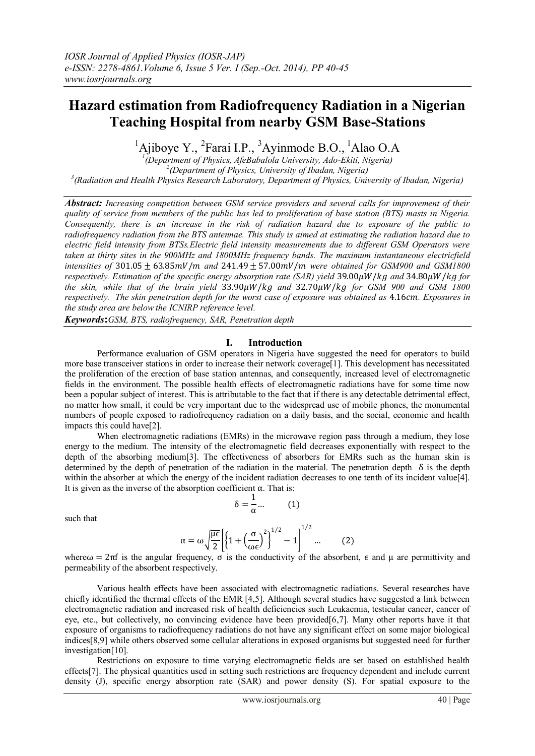# **Hazard estimation from Radiofrequency Radiation in a Nigerian Teaching Hospital from nearby GSM Base-Stations**

 $<sup>1</sup>$ Ajiboye Y., <sup>2</sup>Farai I.P., <sup>3</sup>Ayinmode B.O., <sup>1</sup>Alao O.A</sup>

*1 (Department of Physics, AfeBabalola University, Ado-Ekiti, Nigeria) 2 (Department of Physics, University of Ibadan, Nigeria) 3 (Radiation and Health Physics Research Laboratory, Department of Physics, University of Ibadan, Nigeria)*

*Abstract: Increasing competition between GSM service providers and several calls for improvement of their quality of service from members of the public has led to proliferation of base station (BTS) masts in Nigeria. Consequently, there is an increase in the risk of radiation hazard due to exposure of the public to radiofrequency radiation from the BTS antennae. This study is aimed at estimating the radiation hazard due to electric field intensity from BTSs.Electric field intensity measurements due to different GSM Operators were taken at thirty sites in the 900MHz and 1800MHz frequency bands. The maximum instantaneous electricfield intensities of*  $301.05 \pm 63.85$  *mV*/*m* and  $241.49 \pm 57.00$  *mV*/*m* were obtained for GSM900 and GSM1800 *respectively. Estimation of the specific energy absorption rate (SAR) yield* 39.00 $\mu$ W / *kg and* 34.80 $\mu$ W / *kg for the skin, while that of the brain yield* 33.90 $\mu$ *W*/*kg and 32.70* $\mu$ *W*/*kg for GSM 900 and GSM 1800 respectively. The skin penetration depth for the worst case of exposure was obtained as 4.16cm. Exposures in the study area are below the ICNIRP reference level.*

*Keywords***:***GSM, BTS, radiofrequency, SAR, Penetration depth*

### **I. Introduction**

Performance evaluation of GSM operators in Nigeria have suggested the need for operators to build more base transceiver stations in order to increase their network coverage[1]. This development has necessitated the proliferation of the erection of base station antennas, and consequently, increased level of electromagnetic fields in the environment. The possible health effects of electromagnetic radiations have for some time now been a popular subject of interest. This is attributable to the fact that if there is any detectable detrimental effect, no matter how small, it could be very important due to the widespread use of mobile phones, the monumental numbers of people exposed to radiofrequency radiation on a daily basis, and the social, economic and health impacts this could have[2].

When electromagnetic radiations (EMRs) in the microwave region pass through a medium, they lose energy to the medium. The intensity of the electromagnetic field decreases exponentially with respect to the depth of the absorbing medium[3]. The effectiveness of absorbers for EMRs such as the human skin is determined by the depth of penetration of the radiation in the material. The penetration depth  $\delta$  is the depth within the absorber at which the energy of the incident radiation decreases to one tenth of its incident value[4]. It is given as the inverse of the absorption coefficient α. That is:

$$
\delta = \frac{1}{\alpha} \dots \qquad (1)
$$

such that

$$
\alpha = \omega \sqrt{\frac{\mu \epsilon}{2}} \left[ \left\{ 1 + \left( \frac{\sigma}{\omega \epsilon} \right)^2 \right\}^{1/2} - 1 \right]^{1/2} \dots \tag{2}
$$

where  $\omega = 2\pi f$  is the angular frequency, σ is the conductivity of the absorbent,  $\epsilon$  and  $\mu$  are permittivity and permeability of the absorbent respectively.

Various health effects have been associated with electromagnetic radiations. Several researches have chiefly identified the thermal effects of the EMR [4,5]. Although several studies have suggested a link between electromagnetic radiation and increased risk of health deficiencies such Leukaemia, testicular cancer, cancer of eye, etc., but collectively, no convincing evidence have been provided[6,7]. Many other reports have it that exposure of organisms to radiofrequency radiations do not have any significant effect on some major biological indices[8,9] while others observed some cellular alterations in exposed organisms but suggested need for further investigation[10].

Restrictions on exposure to time varying electromagnetic fields are set based on established health effects[7]. The physical quantities used in setting such restrictions are frequency dependent and include current density (J), specific energy absorption rate (SAR) and power density (S). For spatial exposure to the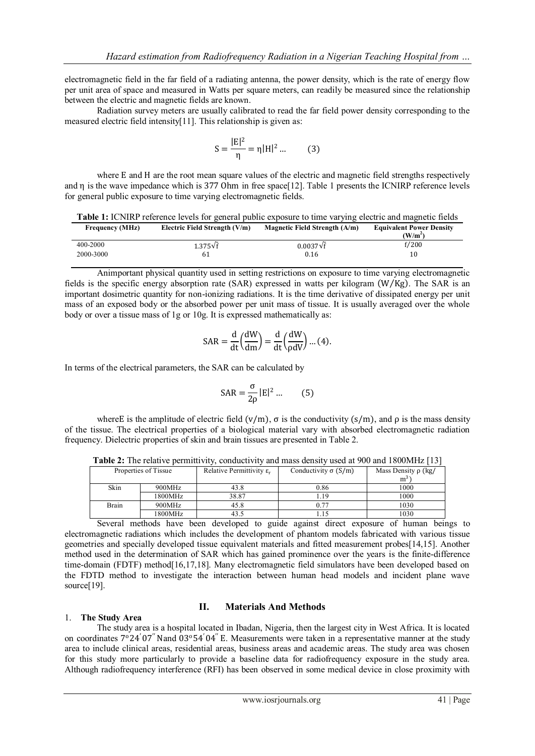electromagnetic field in the far field of a radiating antenna, the power density, which is the rate of energy flow per unit area of space and measured in Watts per square meters, can readily be measured since the relationship between the electric and magnetic fields are known.

Radiation survey meters are usually calibrated to read the far field power density corresponding to the measured electric field intensity[11]. This relationship is given as:

$$
S = \frac{|E|^2}{\eta} = \eta |H|^2 ... \tag{3}
$$

where E and H are the root mean square values of the electric and magnetic field strengths respectively and η is the wave impedance which is 377 Ohm in free space[12]. Table 1 presents the ICNIRP reference levels for general public exposure to time varying electromagnetic fields.

|  |  |  |  |  | Table 1: ICNIRP reference levels for general public exposure to time varying electric and magnetic fields |
|--|--|--|--|--|-----------------------------------------------------------------------------------------------------------|
|  |  |  |  |  |                                                                                                           |

| <b>Frequency (MHz)</b> | Electric Field Strength (V/m) | Magnetic Field Strength $(A/m)$ | <b>Equivalent Power Density</b><br>(W/m <sup>2</sup> ) |
|------------------------|-------------------------------|---------------------------------|--------------------------------------------------------|
| 400-2000               | $1.375\sqrt{f}$               | $0.0037\sqrt{f}$                | f/200                                                  |
| 2000-3000              | 61                            | 0.16                            | 10                                                     |

Animportant physical quantity used in setting restrictions on exposure to time varying electromagnetic fields is the specific energy absorption rate (SAR) expressed in watts per kilogram  $(W/Kg)$ . The SAR is an important dosimetric quantity for non-ionizing radiations. It is the time derivative of dissipated energy per unit mass of an exposed body or the absorbed power per unit mass of tissue. It is usually averaged over the whole body or over a tissue mass of 1g or 10g. It is expressed mathematically as:

$$
SAR = \frac{d}{dt} \left( \frac{dW}{dm} \right) = \frac{d}{dt} \left( \frac{dW}{\rho dV} \right) ... (4).
$$

In terms of the electrical parameters, the SAR can be calculated by

$$
SAR = \frac{\sigma}{2\rho} |E|^2 \dots \qquad (5)
$$

whereE is the amplitude of electric field  $(v/m)$ ,  $\sigma$  is the conductivity  $(s/m)$ , and  $\rho$  is the mass density of the tissue. The electrical properties of a biological material vary with absorbed electromagnetic radiation frequency. Dielectric properties of skin and brain tissues are presented in Table 2.

| Properties of Tissue |         | Relative Permittivity $\varepsilon_r$ | Conductivity $\sigma(S/m)$ | Mass Density $\rho$ (kg/<br>$m^3$ |
|----------------------|---------|---------------------------------------|----------------------------|-----------------------------------|
| Skin                 | 900MHz  | 43.8                                  | 0.86                       | 1000                              |
|                      | 1800MHz | 38.87                                 | . 19                       | 1000                              |
| Brain                | 900MHz  | 45.8                                  | 0.77                       | 1030                              |
|                      | 1800MHz | 43.5                                  |                            | 1030                              |

**Table 2:** The relative permittivity, conductivity and mass density used at 900 and 1800MHz [13]

Several methods have been developed to guide against direct exposure of human beings to electromagnetic radiations which includes the development of phantom models fabricated with various tissue geometries and specially developed tissue equivalent materials and fitted measurement probes[14,15]. Another method used in the determination of SAR which has gained prominence over the years is the finite-difference time-domain (FDTF) method<sup>[16,17,18]</sup>. Many electromagnetic field simulators have been developed based on the FDTD method to investigate the interaction between human head models and incident plane wave source[19].

# 1. **The Study Area**

# **II. Materials And Methods**

The study area is a hospital located in Ibadan, Nigeria, then the largest city in West Africa. It is located on coordinates  $7^{\circ}24'07''$  Nand  $03^{\circ}54'04''$  E. Measurements were taken in a representative manner at the study area to include clinical areas, residential areas, business areas and academic areas. The study area was chosen for this study more particularly to provide a baseline data for radiofrequency exposure in the study area. Although radiofrequency interference (RFI) has been observed in some medical device in close proximity with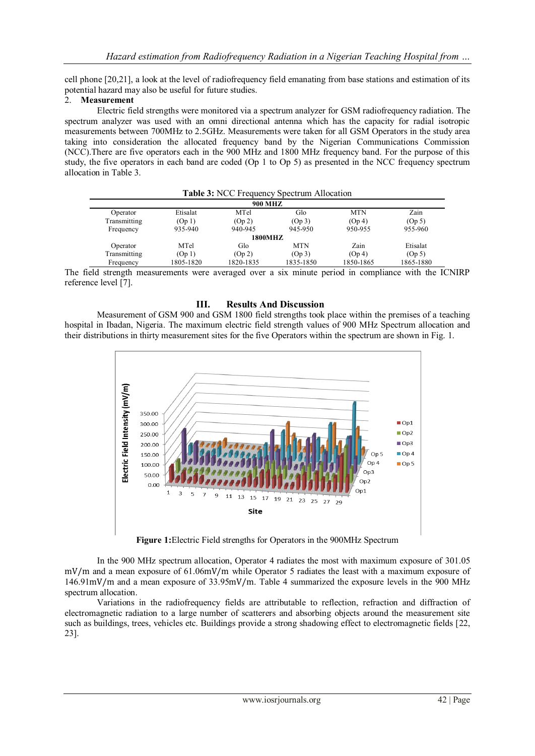cell phone [20,21], a look at the level of radiofrequency field emanating from base stations and estimation of its potential hazard may also be useful for future studies.

# 2. **Measurement**

Electric field strengths were monitored via a spectrum analyzer for GSM radiofrequency radiation. The spectrum analyzer was used with an omni directional antenna which has the capacity for radial isotropic measurements between 700MHz to 2.5GHz. Measurements were taken for all GSM Operators in the study area taking into consideration the allocated frequency band by the Nigerian Communications Commission (NCC).There are five operators each in the 900 MHz and 1800 MHz frequency band. For the purpose of this study, the five operators in each band are coded (Op 1 to Op 5) as presented in the NCC frequency spectrum allocation in Table 3.

|                             |           | Table 3: NCC Frequency Spectrum Allocation |            |            |           |
|-----------------------------|-----------|--------------------------------------------|------------|------------|-----------|
|                             |           | <b>900 MHZ</b>                             |            |            |           |
| Operator                    | Etisalat  | MTel                                       | Glo        | <b>MTN</b> | Zain      |
| Transmitting                | (Op1)     | (Op 2)                                     | (Op 3)     | (Op 4)     | (Op 5)    |
| Frequency                   | 935-940   | 940-945                                    | 945-950    | 950-955    | 955-960   |
|                             |           | <b>1800MHZ</b>                             |            |            |           |
| Operator                    | MTel      | Glo                                        | <b>MTN</b> | Zain       | Etisalat  |
| Transmitting                | (Op1)     | (Op 2)                                     | (Op 3)     | (Op 4)     | (Op 5)    |
| Frequency                   | 1805-1820 | 1820-1835                                  | 1835-1850  | 1850-1865  | 1865-1880 |
| $\sim$ $\sim$ $\sim$ $\sim$ |           |                                            |            | .<br>. .   | .<br>- -  |

The field strength measurements were averaged over a six minute period in compliance with the ICNIRP reference level [7].

## **III. Results And Discussion**

Measurement of GSM 900 and GSM 1800 field strengths took place within the premises of a teaching hospital in Ibadan, Nigeria. The maximum electric field strength values of 900 MHz Spectrum allocation and their distributions in thirty measurement sites for the five Operators within the spectrum are shown in Fig. 1.



**Figure 1:**Electric Field strengths for Operators in the 900MHz Spectrum

In the 900 MHz spectrum allocation, Operator 4 radiates the most with maximum exposure of 301.05 mV/m and a mean exposure of 61.06mV/m while Operator 5 radiates the least with a maximum exposure of 146.91mV/m and a mean exposure of 33.95mV/m. Table 4 summarized the exposure levels in the 900 MHz spectrum allocation.

Variations in the radiofrequency fields are attributable to reflection, refraction and diffraction of electromagnetic radiation to a large number of scatterers and absorbing objects around the measurement site such as buildings, trees, vehicles etc. Buildings provide a strong shadowing effect to electromagnetic fields [22, 23].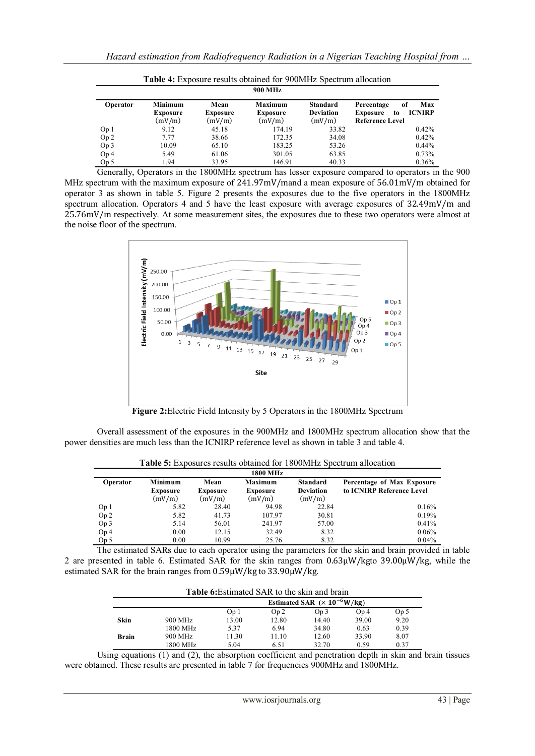|                 | <b>Table 4:</b> Exposure results obtained for 900MHz Spectrum allocation |                                   |                                      |                                               |                                                                                      |  |  |  |
|-----------------|--------------------------------------------------------------------------|-----------------------------------|--------------------------------------|-----------------------------------------------|--------------------------------------------------------------------------------------|--|--|--|
|                 | <b>900 MHz</b>                                                           |                                   |                                      |                                               |                                                                                      |  |  |  |
| Operator        | <b>Minimum</b><br><b>Exposure</b><br>(mV/m)                              | Mean<br><b>Exposure</b><br>(mV/m) | Maximum<br><b>Exposure</b><br>(mV/m) | <b>Standard</b><br><b>Deviation</b><br>(mV/m) | Max<br>Percentage<br>of<br><b>ICNIRP</b><br>Exposure<br>to<br><b>Reference Level</b> |  |  |  |
| Op <sub>1</sub> | 9.12                                                                     | 45.18                             | 174.19                               | 33.82                                         | 0.42%                                                                                |  |  |  |
| Op 2            | 7.77                                                                     | 38.66                             | 172.35                               | 34.08                                         | 0.42%                                                                                |  |  |  |
| Op 3            | 10.09                                                                    | 65.10                             | 183.25                               | 53.26                                         | 0.44%                                                                                |  |  |  |
| Op <sub>4</sub> | 5.49                                                                     | 61.06                             | 301.05                               | 63.85                                         | 0.73%                                                                                |  |  |  |
| Op 5            | 1.94                                                                     | 33.95                             | 146.91                               | 40.33                                         | 0.36%                                                                                |  |  |  |

Generally, Operators in the 1800MHz spectrum has lesser exposure compared to operators in the 900 MHz spectrum with the maximum exposure of 241.97mV/mand a mean exposure of 56.01mV/m obtained for operator 3 as shown in table 5. Figure 2 presents the exposures due to the five operators in the 1800MHz spectrum allocation. Operators 4 and 5 have the least exposure with average exposures of 32.49mV/m and 25.76mV/m respectively. At some measurement sites, the exposures due to these two operators were almost at the noise floor of the spectrum.



**Figure 2:**Electric Field Intensity by 5 Operators in the 1800MHz Spectrum

Overall assessment of the exposures in the 900MHz and 1800MHz spectrum allocation show that the power densities are much less than the ICNIRP reference level as shown in table 3 and table 4.

**Table 5:** Exposures results obtained for 1800MHz Spectrum allocation

| <b>1800 MHz</b> |                 |                 |                 |                  |                            |  |  |
|-----------------|-----------------|-----------------|-----------------|------------------|----------------------------|--|--|
| Operator        | <b>Minimum</b>  | Mean            | Maximum         | <b>Standard</b>  | Percentage of Max Exposure |  |  |
|                 | <b>Exposure</b> | <b>Exposure</b> | <b>Exposure</b> | <b>Deviation</b> | to ICNIRP Reference Level  |  |  |
|                 | (mV/m)          | (mV/m)          | (mV/m)          | (mV/m)           |                            |  |  |
| Op <sub>1</sub> | 5.82            | 28.40           | 94.98           | 22.84            | 0.16%                      |  |  |
| Op <sub>2</sub> | 5.82            | 41.73           | 107.97          | 30.81            | 0.19%                      |  |  |
| Op 3            | 5.14            | 56.01           | 241.97          | 57.00            | 0.41%                      |  |  |
| Op <sub>4</sub> | 0.00            | 12.15           | 32.49           | 8.32             | 0.06%                      |  |  |
| Op <sub>5</sub> | 0.00            | 10.99           | 25.76           | 8.32             | 0.04%                      |  |  |

The estimated SARs due to each operator using the parameters for the skin and brain provided in table 2 are presented in table 6. Estimated SAR for the skin ranges from 0.63μW/kgto 39.00μW/kg, while the estimated SAR for the brain ranges from 0.59μW/kg to 33.90μW/kg.

|              | <b>Table 6:</b> Estimated SAR to the skin and brain |       |                 |       |                 |      |  |  |
|--------------|-----------------------------------------------------|-------|-----------------|-------|-----------------|------|--|--|
|              | Estimated SAR $(\times 10^{-6} W/kg)$               |       |                 |       |                 |      |  |  |
|              |                                                     | Op 1  | Op <sub>2</sub> | Op 3  | Op <sub>4</sub> | Op 5 |  |  |
| Skin         | 900 MHz                                             | 13.00 | 12.80           | 14.40 | 39.00           | 9.20 |  |  |
|              | 1800 MHz                                            | 5.37  | 6.94            | 34.80 | 0.63            | 0.39 |  |  |
| <b>Brain</b> | 900 MHz                                             | 11.30 | 11.10           | 12.60 | 33.90           | 8.07 |  |  |
|              | 1800 MHz                                            | 5.04  | 6.51            | 32.70 | 0.59            | 0.37 |  |  |

Using equations (1) and (2), the absorption coefficient and penetration depth in skin and brain tissues were obtained. These results are presented in table 7 for frequencies 900MHz and 1800MHz.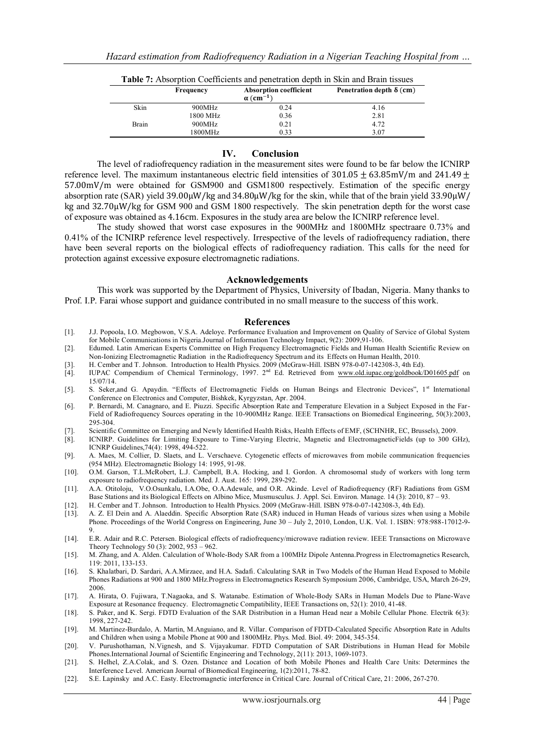| <b>Table</b> 7. Trosof priori Courticities and penetration deput in SKIII and Brain hissaes |           |                                                               |                                 |  |  |  |  |
|---------------------------------------------------------------------------------------------|-----------|---------------------------------------------------------------|---------------------------------|--|--|--|--|
|                                                                                             | Frequency | <b>Absorption coefficient</b><br>$\alpha$ (cm <sup>-1</sup> ) | Penetration depth $\delta$ (cm) |  |  |  |  |
| Skin                                                                                        | 900MHz    | 0.24                                                          | 4.16                            |  |  |  |  |
|                                                                                             | 1800 MHz  | 0.36                                                          | 2.81                            |  |  |  |  |
| Brain                                                                                       | 900MHz    | 0.21                                                          | 4.72                            |  |  |  |  |
|                                                                                             | 1800MHz   | 0.33                                                          | 3.07                            |  |  |  |  |

| <b>Table 7:</b> Absorption Coefficients and penetration depth in Skin and Brain tissues |  |
|-----------------------------------------------------------------------------------------|--|
|-----------------------------------------------------------------------------------------|--|

#### **IV. Conclusion**

The level of radiofrequency radiation in the measurement sites were found to be far below the ICNIRP reference level. The maximum instantaneous electric field intensities of 301.05  $\pm$  63.85mV/m and 241.49  $\pm$ 57.00mV/m were obtained for GSM900 and GSM1800 respectively. Estimation of the specific energy absorption rate (SAR) yield 39.00μW/kg and 34.80μW/kg for the skin, while that of the brain yield 33.90μW/ kg and 32.70μW/kg for GSM 900 and GSM 1800 respectively. The skin penetration depth for the worst case of exposure was obtained as 4.16cm. Exposures in the study area are below the ICNIRP reference level.

The study showed that worst case exposures in the 900MHz and 1800MHz spectraare 0.73% and 0.41% of the ICNIRP reference level respectively. Irrespective of the levels of radiofrequency radiation, there have been several reports on the biological effects of radiofrequency radiation. This calls for the need for protection against excessive exposure electromagnetic radiations.

#### **Acknowledgements**

This work was supported by the Department of Physics, University of Ibadan, Nigeria. Many thanks to Prof. I.P. Farai whose support and guidance contributed in no small measure to the success of this work.

#### **References**

- [1]. J.J. Popoola, I.O. Megbowon, V.S.A. Adeloye. Performance Evaluation and Improvement on Quality of Service of Global System for Mobile Communications in Nigeria.Journal of Information Technology Impact, 9(2): 2009,91-106.
- [2]. Edumed. Latin American Experts Committee on High Frequency Electromagnetic Fields and Human Health Scientific Review on Non-Ionizing Electromagnetic Radiation in the Radiofrequency Spectrum and its Effects on Human Health, 2010.
- [3]. H. Cember and T. Johnson. Introduction to Health Physics. 2009 (McGraw-Hill. ISBN 978-0-07-142308-3, 4th Ed).
- [4]. IUPAC Compendium of Chemical Terminology, 1997. 2<sup>nd</sup> Ed. Retrieved from [www.old.iupac.org/goldbook/D01605.pdf](http://www.old.iupac.org/goldbook/D01605.pdf) on 15/07/14.
- [5]. S. Seker, and G. Apaydin. "Effects of Electromagnetic Fields on Human Beings and Electronic Devices", 1st International Conference on Electronics and Computer, Bishkek, Kyrgyzstan, Apr. 2004.
- [6]. P. Bernardi, M. Canagnaro, and E. Piuzzi. Specific Absorption Rate and Temperature Elevation in a Subject Exposed in the Far-Field of Radiofrequency Sources operating in the 10-900MHz Range. IEEE Transactions on Biomedical Engineering, 50(3):2003, 295-304.
- [7]. Scientific Committee on Emerging and Newly Identified Health Risks, Health Effects of EMF, (SCHNHR, EC, Brussels), 2009.
- [8]. ICNIRP. Guidelines for Limiting Exposure to Time-Varying Electric, Magnetic and ElectromagneticFields (up to 300 GHz), ICNRP Guidelines,74(4): 1998, 494-522.
- [9]. A. Maes, M. Collier, D. Slaets, and L. Verschaeve. Cytogenetic effects of microwaves from mobile communication frequencies (954 MHz). Electromagnetic Biology 14: 1995, 91-98.
- [10]. O.M. Garson, T.L.McRobert, L.J. Campbell, B.A. Hocking, and I. Gordon. A chromosomal study of workers with long term exposure to radiofrequency radiation. Med. J. Aust. 165: 1999, 289-292.
- [11]. A.A. Otitoloju, V.O.Osunkalu, I.A.Obe, O.A.Adewale, and O.R. Akinde. Level of Radiofrequency (RF) Radiations from GSM Base Stations and its Biological Effects on Albino Mice, Musmusculus. J. Appl. Sci. Environ. Manage. 14 (3): 2010, 87 – 93.
- [12]. H. Cember and T. Johnson. Introduction to Health Physics. 2009 (McGraw-Hill. ISBN 978-0-07-142308-3, 4th Ed).
- [13]. A. Z. El Dein and A. Alaeddin. Specific Absorption Rate (SAR) induced in Human Heads of various sizes when using a Mobile Phone. Proceedings of the World Congress on Engineering, June 30 – July 2, 2010, London, U.K. Vol. 1. ISBN: 978:988-17012-9-9.
- [14]. E.R. Adair and R.C. Petersen. Biological effects of radiofrequency/microwave radiation review. IEEE Transactions on Microwave Theory Technology 50 (3): 2002, 953 – 962.
- [15]. M. Zhang, and A. Alden. Calculation of Whole-Body SAR from a 100MHz Dipole Antenna.Progress in Electromagnetics Research, 119: 2011, 133-153.
- [16]. S. Khalatbari, D. Sardari, A.A.Mirzaee, and H.A. Sadafi. Calculating SAR in Two Models of the Human Head Exposed to Mobile Phones Radiations at 900 and 1800 MHz.Progress in Electromagnetics Research Symposium 2006, Cambridge, USA, March 26-29, 2006.
- [17]. A. Hirata, O. Fujiwara, T.Nagaoka, and S. Watanabe. Estimation of Whole-Body SARs in Human Models Due to Plane-Wave Exposure at Resonance frequency. Electromagnetic Compatibility, IEEE Transactions on, 52(1): 2010, 41-48.
- [18]. S. Paker, and K. Sergi. FDTD Evaluation of the SAR Distribution in a Human Head near a Mobile Cellular Phone. Electrik 6(3): 1998, 227-242.
- [19]. M. Martinez-Burdalo, A. Martin, M.Anguiano, and R. Villar. Comparison of FDTD-Calculated Specific Absorption Rate in Adults and Children when using a Mobile Phone at 900 and 1800MHz. Phys. Med. Biol. 49: 2004, 345-354.
- [20]. V. Purushothaman, N.Vignesh, and S. Vijayakumar. FDTD Computation of SAR Distributions in Human Head for Mobile Phones.International Journal of Scientific Engineering and Technology, 2(11): 2013, 1069-1073.
- [21]. S. Helhel, Z.A.Colak, and S. Ozen. Distance and Location of both Mobile Phones and Health Care Units: Determines the Interference Level. American Journal of Biomedical Engineering, 1(2):2011, 78-82.
- [22]. S.E. Lapinsky and A.C. Easty. Electromagnetic interference in Critical Care. Journal of Critical Care, 21: 2006, 267-270.